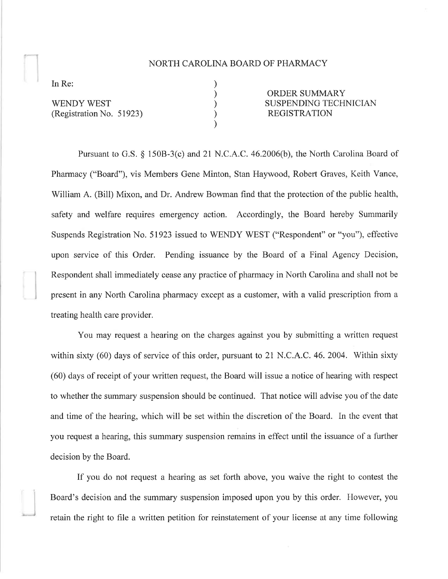## NORTH CAROLINA BOARD OF PHARMACY

) ) ) ) )

In Re:

)

**WENDY WEST** (Registration No. 51923)

ORDER SUMMARY SUSPENDING TECHNICIAN REGISTRATION

Pursuant to G.S. \$ 1508-3(c) and 2l N.C.A.C. 46.2006(b), the North Carolina Board of Pharmacy ("Board"), vis Members Gene Minton, Stan Haywood, Robert Graves, Keith Vance, William A. (Bill) Mixon, and Dr. Andrew Bowman find that the protection of the public health, safety and welfare requires emergency action. Accordingly, the Board hereby Summarily Suspends Registration No. 51923 issued to WENDY WEST ("Respondent" or "you"), effective upon service of this Order. Pending issuance by the Board of a Final Agency Decision, Respondent shall immediately cease any practice of pharmacy in North Carolina and shall not be present in any North Carolina pharmacy except as a customer, with a valid prescription from a treating health care provider.

You may request a hearing on the charges against you by submitting a written request within sixty (60) days of service of this order, pursuant to 21 N.C.A.C. 46. 2004. Within sixty (60) days of receipt of your written request, the Board will issue a notice of hearing with respect to whether the summary suspension should be continued. That notice will advise you of the date and time of the hearing, which will be set within the discretion of the Board. In the event that you request a hearing, this summary suspension remains in effect until the issuance of a fuither decision by the Board.

If you do not request a hearing as set forth above, you waive the right to contest the Board's decision and the summary suspension imposed upon you by this order. However, you retain the right to file a written petition for reinstatement of your license at any time following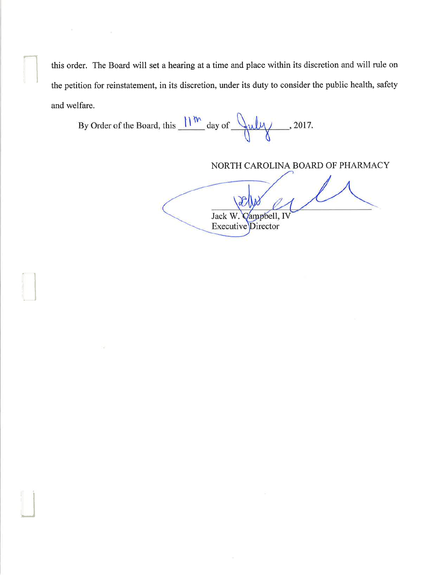this order. The Board will set a hearing at a time and place within its discretion and will rule on the petition for reinstatement, in its discretion, under its duty to consider the public health, safety and welfare.

By Order of the Board, this  $\frac{||w||}{||w|}$  day of  $\frac{||w||}{||w||}$ , 2017.

il

'J

NORTH CAROLINA BOARD OF PHARMACY

Jack W. Campbell,<br>Executive Director Vampbell, IN